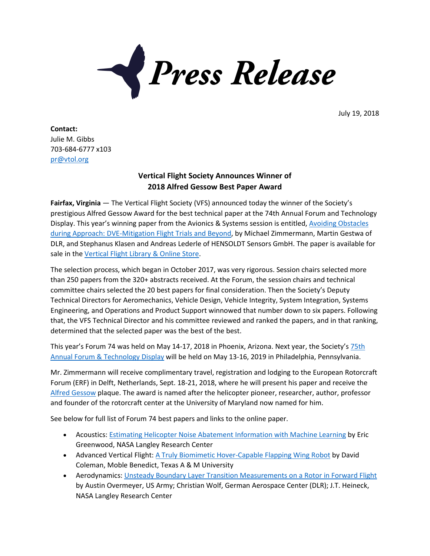

July 19, 2018

**Contact:** Julie M. Gibbs 703-684-6777 x103 [pr@vtol.org](mailto:pr@vtol.org)

## **Vertical Flight Society Announces Winner of 2018 Alfred Gessow Best Paper Award**

**Fairfax, Virginia** — The Vertical Flight Society (VFS) announced today the winner of the Society's prestigious Alfred Gessow Award for the best technical paper at the 74th Annual Forum and Technology Display. This year's winning paper from the Avionics & Systems session is entitled, Avoiding [Obstacles](https://vtol.org/store/product/avoiding-obstacles-during-approach-dvemitigation-flight-trials-and-beyond-12732.cfm) during Approach: [DVE-Mitigation](https://vtol.org/store/product/avoiding-obstacles-during-approach-dvemitigation-flight-trials-and-beyond-12732.cfm) Flight Trials and Beyond, by Michael Zimmermann, Martin Gestwa of DLR, and Stephanus Klasen and Andreas Lederle of HENSOLDT Sensors GmbH. The paper is available for sale in the [Vertical](http://vtol.org/store/) Flight Library & Online Store.

The selection process, which began in October 2017, was very rigorous. Session chairs selected more than 250 papers from the 320+ abstracts received. At the Forum, the session chairs and technical committee chairs selected the 20 best papers for final consideration. Then the Society's Deputy Technical Directors for Aeromechanics, Vehicle Design, Vehicle Integrity, System Integration, Systems Engineering, and Operations and Product Support winnowed that number down to six papers. Following that, the VFS Technical Director and his committee reviewed and ranked the papers, and in that ranking, determined that the selected paper was the best of the best.

This year's Forum 74 was held on May 14-17, 2018 in Phoenix, Arizona. Next year, the Society's [75th](https://www.vtol.org/annual-forum/forum-74) Annual Forum & [Technology](https://www.vtol.org/annual-forum/forum-74) Display will be held on May 13-16, 2019 in Philadelphia, Pennsylvania.

Mr. Zimmermann will receive complimentary travel, registration and lodging to the European Rotorcraft Forum (ERF) in Delft, Netherlands, Sept. 18-21, 2018, where he will present his paper and receive the Alfred [Gessow](http://vtol.org/gessow) plaque. The award is named after the helicopter pioneer, researcher, author, professor and founder of the rotorcraft center at the University of Maryland now named for him.

See below for full list of Forum 74 best papers and links to the online paper.

- Acoustics: Estimating Helicopter Noise Abatement [Information](https://vtol.org/store/product/estimating-helicopter-noise-abatement-information-with-machine-learning-12666.cfm) with Machine Learning by Eric Greenwood, NASA Langley Research Center
- Advanced Vertical Flight: A Truly Biomimetic [Hover-Capable](https://vtol.org/store/product/a-truly-biomimetic-hovercapable-flapping-wing-robot-12681.cfm) Flapping Wing Robot by David Coleman, Moble Benedict, Texas A & M University
- Aerodynamics: Unsteady Boundary Layer Transition [Measurements](https://vtol.org/store/product/unsteady-boundary-layer-transition-measurements-on-a-rotor-in-forward-flight-12692.cfm) on a Rotor in Forward Flight by Austin Overmeyer, US Army; Christian Wolf, German Aerospace Center (DLR); J.T. Heineck, NASA Langley Research Center